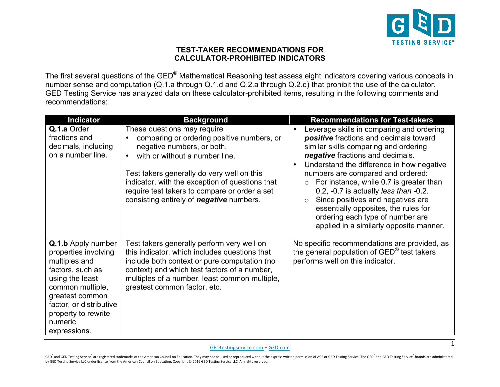

## **TEST-TAKER RECOMMENDATIONS FOR CALCULATOR-PROHIBITED INDICATORS**

The first several questions of the GED® Mathematical Reasoning test assess eight indicators covering various concepts in number sense and computation (Q.1.a through Q.1.d and Q.2.a through Q.2.d) that prohibit the use of the calculator. GED Testing Service has analyzed data on these calculator-prohibited items, resulting in the following comments and recommendations:

| <b>Indicator</b>                                                                                                                                                                                                       | <b>Background</b>                                                                                                                                                                                                                                                                                                                              | <b>Recommendations for Test-takers</b>                                                                                                                                                                                                                                                                                                                                                                                                                                                                                                  |
|------------------------------------------------------------------------------------------------------------------------------------------------------------------------------------------------------------------------|------------------------------------------------------------------------------------------------------------------------------------------------------------------------------------------------------------------------------------------------------------------------------------------------------------------------------------------------|-----------------------------------------------------------------------------------------------------------------------------------------------------------------------------------------------------------------------------------------------------------------------------------------------------------------------------------------------------------------------------------------------------------------------------------------------------------------------------------------------------------------------------------------|
| Q.1.a Order<br>fractions and<br>decimals, including<br>on a number line.                                                                                                                                               | These questions may require<br>comparing or ordering positive numbers, or<br>negative numbers, or both,<br>with or without a number line.<br>Test takers generally do very well on this<br>indicator, with the exception of questions that<br>require test takers to compare or order a set<br>consisting entirely of <b>negative</b> numbers. | Leverage skills in comparing and ordering<br>positive fractions and decimals toward<br>similar skills comparing and ordering<br>negative fractions and decimals.<br>Understand the difference in how negative<br>numbers are compared and ordered:<br>For instance, while 0.7 is greater than<br>$\circ$<br>$0.2$ , $-0.7$ is actually <i>less than</i> $-0.2$ .<br>Since positives and negatives are<br>$\circ$<br>essentially opposites, the rules for<br>ordering each type of number are<br>applied in a similarly opposite manner. |
| Q.1.b Apply number<br>properties involving<br>multiples and<br>factors, such as<br>using the least<br>common multiple,<br>greatest common<br>factor, or distributive<br>property to rewrite<br>numeric<br>expressions. | Test takers generally perform very well on<br>this indicator, which includes questions that<br>include both context or pure computation (no<br>context) and which test factors of a number,<br>multiples of a number, least common multiple,<br>greatest common factor, etc.                                                                   | No specific recommendations are provided, as<br>the general population of GED <sup>®</sup> test takers<br>performs well on this indicator.                                                                                                                                                                                                                                                                                                                                                                                              |

## [GEDtestingservice.com](http://www.gedtestingservice.com) • [GED.com](https://www.ged.com)

GED and GED Testing Service are registered trademarks of the American Council on Education. They may not be used or reproduced without the express written permission of ACE or GED Testing Service. The GED and GED Testing S by GED Testing Service LLC under license from the American Council on Education. Copyright © 2016 GED Testing Service LLC. All rights reserved.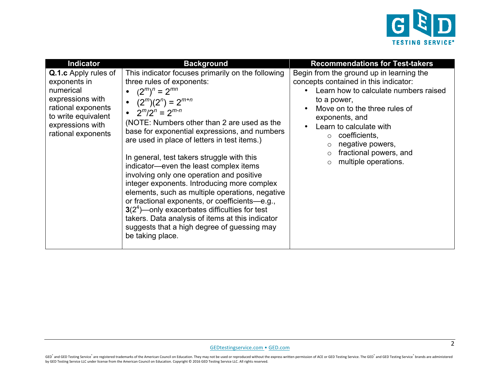

| <b>Indicator</b>                                                                                                                                                    | <b>Background</b>                                                                                                                                                                                                                                                                                                                                                                                                                                                                                                                                                                                                                                                                                                                                                               | <b>Recommendations for Test-takers</b>                                                                                                                                                                                                                                                                                    |
|---------------------------------------------------------------------------------------------------------------------------------------------------------------------|---------------------------------------------------------------------------------------------------------------------------------------------------------------------------------------------------------------------------------------------------------------------------------------------------------------------------------------------------------------------------------------------------------------------------------------------------------------------------------------------------------------------------------------------------------------------------------------------------------------------------------------------------------------------------------------------------------------------------------------------------------------------------------|---------------------------------------------------------------------------------------------------------------------------------------------------------------------------------------------------------------------------------------------------------------------------------------------------------------------------|
| <b>Q.1.c</b> Apply rules of<br>exponents in<br>numerical<br>expressions with<br>rational exponents<br>to write equivalent<br>expressions with<br>rational exponents | This indicator focuses primarily on the following<br>three rules of exponents:<br>• $(2^m)^n = 2^{mn}$<br>• $(2^m)(2^n) = 2^{m+n}$<br>• $2^m/2^n = 2^{m-n}$<br>(NOTE: Numbers other than 2 are used as the<br>base for exponential expressions, and numbers<br>are used in place of letters in test items.)<br>In general, test takers struggle with this<br>indicator—even the least complex items<br>involving only one operation and positive<br>integer exponents. Introducing more complex<br>elements, such as multiple operations, negative<br>or fractional exponents, or coefficients-e.g.,<br>$3(24)$ – only exacerbates difficulties for test<br>takers. Data analysis of items at this indicator<br>suggests that a high degree of guessing may<br>be taking place. | Begin from the ground up in learning the<br>concepts contained in this indicator:<br>Learn how to calculate numbers raised<br>to a power,<br>Move on to the three rules of<br>exponents, and<br>Learn to calculate with<br>coefficients,<br>negative powers,<br>fractional powers, and<br>multiple operations.<br>$\circ$ |

GED<sup>\*</sup> and GED Testing Service<sup>\*</sup> are registered trademarks of the American Council on Education. They may not be used or reproduced without the express written permission of ACE or GED Testing Service. The GED<sup>\*</sup> and GED by GED Testing Service LLC under license from the American Council on Education. Copyright © 2016 GED Testing Service LLC. All rights reserved.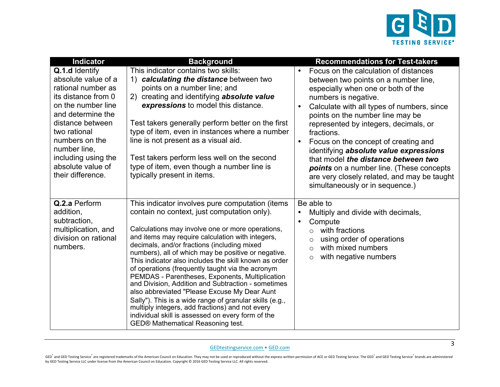

| <b>Indicator</b>                                                                                                                                                                                                                                                     | <b>Background</b>                                                                                                                                                                                                                                                                                                                                                                                                                                                                                                                                                                                                                                                                                                                                                                          | <b>Recommendations for Test-takers</b>                                                                                                                                                                                                                                                                                                                                                                                                                                                                                                                                       |
|----------------------------------------------------------------------------------------------------------------------------------------------------------------------------------------------------------------------------------------------------------------------|--------------------------------------------------------------------------------------------------------------------------------------------------------------------------------------------------------------------------------------------------------------------------------------------------------------------------------------------------------------------------------------------------------------------------------------------------------------------------------------------------------------------------------------------------------------------------------------------------------------------------------------------------------------------------------------------------------------------------------------------------------------------------------------------|------------------------------------------------------------------------------------------------------------------------------------------------------------------------------------------------------------------------------------------------------------------------------------------------------------------------------------------------------------------------------------------------------------------------------------------------------------------------------------------------------------------------------------------------------------------------------|
| Q.1.d Identify<br>absolute value of a<br>rational number as<br>its distance from 0<br>on the number line<br>and determine the<br>distance between<br>two rational<br>numbers on the<br>number line,<br>including using the<br>absolute value of<br>their difference. | This indicator contains two skills:<br>1) calculating the distance between two<br>points on a number line; and<br>creating and identifying absolute value<br>2)<br>expressions to model this distance.<br>Test takers generally perform better on the first<br>type of item, even in instances where a number<br>line is not present as a visual aid.<br>Test takers perform less well on the second<br>type of item, even though a number line is<br>typically present in items.                                                                                                                                                                                                                                                                                                          | Focus on the calculation of distances<br>between two points on a number line,<br>especially when one or both of the<br>numbers is negative.<br>Calculate with all types of numbers, since<br>$\bullet$<br>points on the number line may be<br>represented by integers, decimals, or<br>fractions.<br>Focus on the concept of creating and<br>$\bullet$<br>identifying absolute value expressions<br>that model the distance between two<br><b>points</b> on a number line. (These concepts<br>are very closely related, and may be taught<br>simultaneously or in sequence.) |
| Q.2.a Perform<br>addition,<br>subtraction,<br>multiplication, and<br>division on rational<br>numbers.                                                                                                                                                                | This indicator involves pure computation (items<br>contain no context, just computation only).<br>Calculations may involve one or more operations,<br>and items may require calculation with integers,<br>decimals, and/or fractions (including mixed<br>numbers), all of which may be positive or negative.<br>This indicator also includes the skill known as order<br>of operations (frequently taught via the acronym<br>PEMDAS - Parentheses, Exponents, Multiplication<br>and Division, Addition and Subtraction - sometimes<br>also abbreviated "Please Excuse My Dear Aunt<br>Sally"). This is a wide range of granular skills (e.g.,<br>multiply integers, add fractions) and not every<br>individual skill is assessed on every form of the<br>GED® Mathematical Reasoning test. | Be able to<br>Multiply and divide with decimals,<br>$\bullet$<br>Compute<br>$\bullet$<br>with fractions<br>$\circ$<br>using order of operations<br>$\circ$<br>with mixed numbers<br>$\circ$<br>with negative numbers<br>$\circ$                                                                                                                                                                                                                                                                                                                                              |

GEDtestingservice.com . GED.com

GED<sup>®</sup> and GED Testing Service® are registered trademarks of the American Council on Education. They may not be used or reproduced without the express written permission of ACE or GED Testing Service. The GED® and GED Test by GED Testing Service LLC under license from the American Council on Education. Copyright © 2016 GED Testing Service LLC. All rights reserved.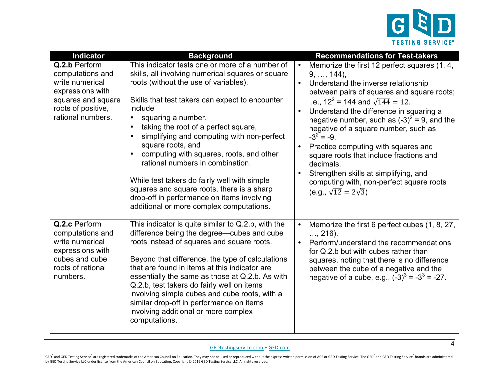

| <b>Indicator</b>                        | <b>Background</b>                                                                                 | <b>Recommendations for Test-takers</b>                                                  |
|-----------------------------------------|---------------------------------------------------------------------------------------------------|-----------------------------------------------------------------------------------------|
| Q.2.b Perform                           | This indicator tests one or more of a number of                                                   | Memorize the first 12 perfect squares (1, 4,                                            |
| computations and<br>write numerical     | skills, all involving numerical squares or square<br>roots (without the use of variables).        | $9, \ldots, 144$ ,<br>Understand the inverse relationship                               |
| expressions with                        |                                                                                                   | between pairs of squares and square roots;                                              |
| squares and square                      | Skills that test takers can expect to encounter                                                   | i.e., $12^2$ = 144 and $\sqrt{144}$ = 12.                                               |
| roots of positive,<br>rational numbers. | include<br>squaring a number,<br>$\bullet$                                                        | Understand the difference in squaring a                                                 |
|                                         | taking the root of a perfect square,                                                              | negative number, such as $(-3)^2 = 9$ , and the<br>negative of a square number, such as |
|                                         | simplifying and computing with non-perfect                                                        | $-3^{2} = -9$ .                                                                         |
|                                         | square roots, and                                                                                 | Practice computing with squares and                                                     |
|                                         | computing with squares, roots, and other<br>rational numbers in combination.                      | square roots that include fractions and<br>decimals.                                    |
|                                         |                                                                                                   | Strengthen skills at simplifying, and                                                   |
|                                         | While test takers do fairly well with simple                                                      | computing with, non-perfect square roots                                                |
|                                         | squares and square roots, there is a sharp<br>drop-off in performance on items involving          | (e.g., $\sqrt{12} = 2\sqrt{3}$ )                                                        |
|                                         | additional or more complex computations.                                                          |                                                                                         |
|                                         |                                                                                                   |                                                                                         |
| Q.2.c Perform<br>computations and       | This indicator is quite similar to Q.2.b, with the<br>difference being the degree-cubes and cube  | Memorize the first 6 perfect cubes (1, 8, 27,<br>$, 216$ ).                             |
| write numerical                         | roots instead of squares and square roots.                                                        | Perform/understand the recommendations<br>$\bullet$                                     |
| expressions with                        |                                                                                                   | for Q.2.b but with cubes rather than                                                    |
| cubes and cube<br>roots of rational     | Beyond that difference, the type of calculations<br>that are found in items at this indicator are | squares, noting that there is no difference<br>between the cube of a negative and the   |
| numbers.                                | essentially the same as those at Q.2.b. As with                                                   | negative of a cube, e.g., $(-3)^3 = -3^3 = -27$ .                                       |
|                                         | Q.2.b, test takers do fairly well on items                                                        |                                                                                         |
|                                         | involving simple cubes and cube roots, with a<br>similar drop-off in performance on items         |                                                                                         |
|                                         | involving additional or more complex                                                              |                                                                                         |
|                                         | computations.                                                                                     |                                                                                         |
|                                         |                                                                                                   |                                                                                         |

GEDtestingservice.com . [GED.com](https://www.ged.com)

GED<sup>\*</sup> and GED Testing Service<sup>\*</sup> are registered trademarks of the American Council on Education. They may not be used or reproduced without the express written permission of ACE or GED Testing Service. The GED<sup>\*</sup> and GED by GED Testing Service LLC under license from the American Council on Education. Copyright © 2016 GED Testing Service LLC. All rights reserved.